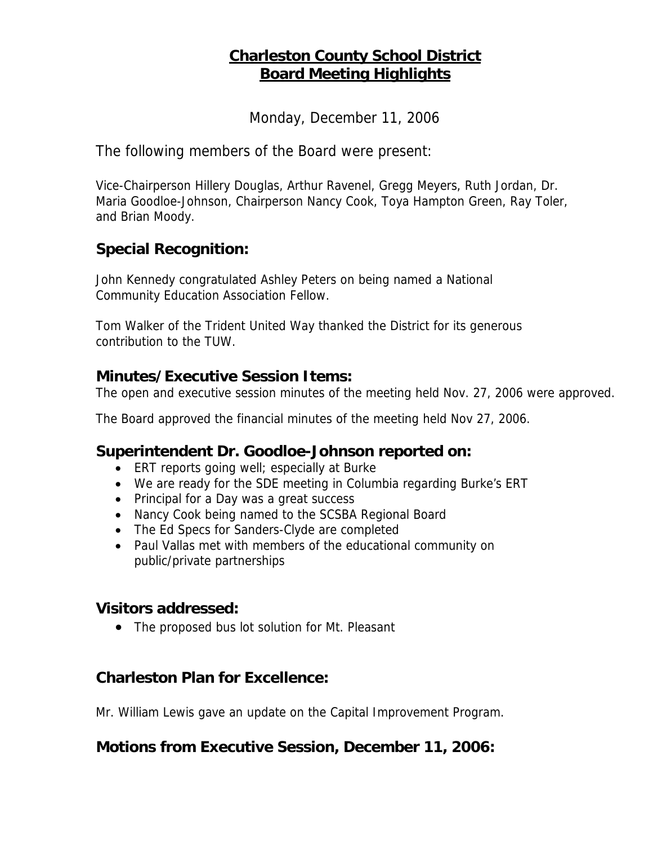# **Charleston County School District Board Meeting Highlights**

Monday, December 11, 2006

The following members of the Board were present:

Vice-Chairperson Hillery Douglas, Arthur Ravenel, Gregg Meyers, Ruth Jordan, Dr. Maria Goodloe-Johnson, Chairperson Nancy Cook, Toya Hampton Green, Ray Toler, and Brian Moody.

# **Special Recognition:**

John Kennedy congratulated Ashley Peters on being named a National Community Education Association Fellow.

Tom Walker of the Trident United Way thanked the District for its generous contribution to the TUW.

### **Minutes/Executive Session Items:**

The open and executive session minutes of the meeting held Nov. 27, 2006 were approved.

The Board approved the financial minutes of the meeting held Nov 27, 2006.

#### **Superintendent Dr. Goodloe-Johnson reported on:**

- ERT reports going well; especially at Burke
- We are ready for the SDE meeting in Columbia regarding Burke's ERT
- Principal for a Day was a great success
- Nancy Cook being named to the SCSBA Regional Board
- The Ed Specs for Sanders-Clyde are completed
- Paul Vallas met with members of the educational community on public/private partnerships

#### **Visitors addressed:**

• The proposed bus lot solution for Mt. Pleasant

# **Charleston Plan for Excellence:**

Mr. William Lewis gave an update on the Capital Improvement Program.

# **Motions from Executive Session, December 11, 2006:**